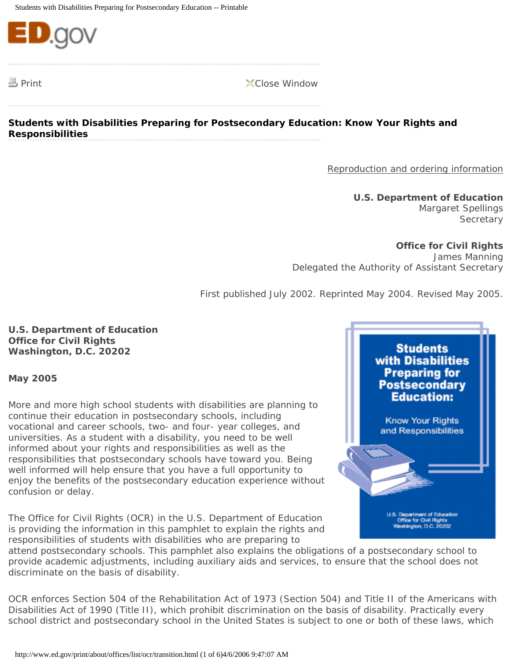#### **U.S. Department of Education** Margaret Spellings

*Secretary*

# **Office for Civil Rights**

James Manning *Delegated the Authority of Assistant Secretary* 

First published July 2002. Reprinted May 2004. Revised May 2005.

#### <span id="page-0-0"></span>**U.S. Department of Education Office for Civil Rights Washington, D.C. 20202**

### *May 2005*

More and more high school students with disabilities are planning to continue their education in postsecondary schools, including vocational and career schools, two- and four- year colleges, and universities. As a student with a disability, you need to be well informed about your rights and responsibilities as well as the responsibilities that postsecondary schools have toward you. Being well informed will help ensure that you have a full opportunity to enjoy the benefits of the postsecondary education experience without confusion or delay.

The Office for Civil Rights (OCR) in the U.S. Department of Education is providing the information in this pamphlet to explain the rights and responsibilities of students with disabilities who are preparing to



attend postsecondary schools. This pamphlet also explains the obligations of a postsecondary school to provide academic adjustments, including auxiliary aids and services, to ensure that the school does not discriminate on the basis of disability.

OCR enforces Section 504 of the Rehabilitation Act of 1973 (Section 504) and Title II of the Americans with Disabilities Act of 1990 (Title II), which prohibit discrimination on the basis of disability. Practically every school district and postsecondary school in the United States is subject to one or both of these laws, which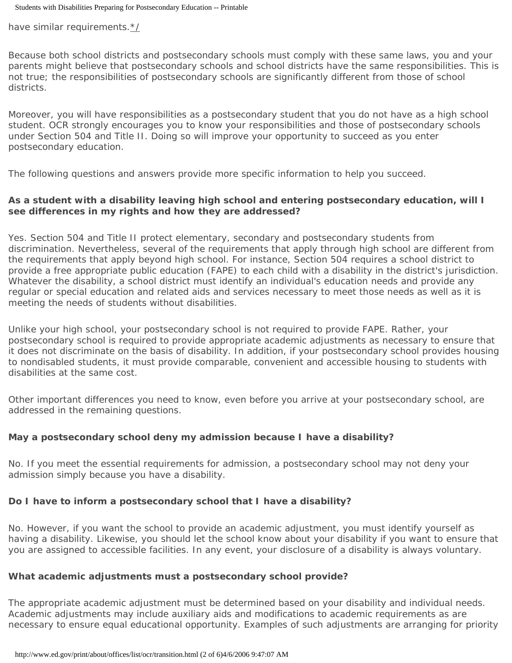<span id="page-1-0"></span>Because both school districts and postsecondary schools must comply with these same laws, you and your parents might believe that postsecondary schools and school districts have the same responsibilities. This is not true; the responsibilities of postsecondary schools are significantly different from those of school districts.

Moreover, you will have responsibilities as a postsecondary student that you do not have as a high school student. OCR strongly encourages you to know your responsibilities and those of postsecondary schools under Section 504 and Title II. Doing so will improve your opportunity to succeed as you enter postsecondary education.

The following questions and answers provide more specific information to help you succeed.

### **As a student with a disability leaving high school and entering postsecondary education, will I see differences in my rights and how they are addressed?**

Yes. Section 504 and Title II protect elementary, secondary and postsecondary students from discrimination. Nevertheless, several of the requirements that apply through high school are different from the requirements that apply beyond high school. For instance, Section 504 requires a school district to provide a free appropriate public education (FAPE) to each child with a disability in the district's jurisdiction. Whatever the disability, a school district must identify an individual's education needs and provide any regular or special education and related aids and services necessary to meet those needs as well as it is meeting the needs of students without disabilities.

Unlike your high school, your postsecondary school is not required to provide FAPE. Rather, your postsecondary school is required to provide appropriate academic adjustments as necessary to ensure that it does not discriminate on the basis of disability. In addition, if your postsecondary school provides housing to nondisabled students, it must provide comparable, convenient and accessible housing to students with disabilities at the same cost.

Other important differences you need to know, even before you arrive at your postsecondary school, are addressed in the remaining questions.

### **May a postsecondary school deny my admission because I have a disability?**

No. If you meet the essential requirements for admission, a postsecondary school may not deny your admission simply because you have a disability.

# **Do I have to inform a postsecondary school that I have a disability?**

No. However, if you want the school to provide an academic adjustment, you must identify yourself as having a disability. Likewise, you should let the school know about your disability if you want to ensure that you are assigned to accessible facilities. In any event, your disclosure of a disability is always voluntary.

# **What academic adjustments must a postsecondary school provide?**

The appropriate academic adjustment must be determined based on your disability and individual needs. Academic adjustments may include auxiliary aids and modifications to academic requirements as are necessary to ensure equal educational opportunity. Examples of such adjustments are arranging for priority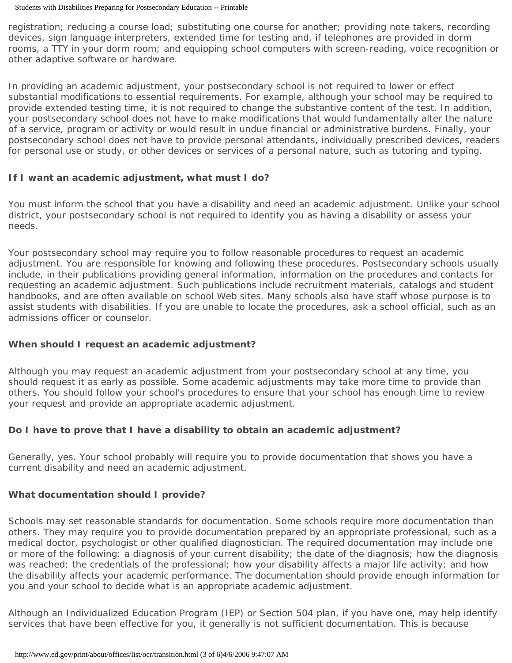registration; reducing a course load; substituting one course for another; providing note takers, recording devices, sign language interpreters, extended time for testing and, if telephones are provided in dorm rooms, a TTY in your dorm room; and equipping school computers with screen-reading, voice recognition or other adaptive software or hardware.

In providing an academic adjustment, your postsecondary school is not required to lower or effect substantial modifications to essential requirements. For example, although your school may be required to provide extended testing time, it is not required to change the substantive content of the test. In addition, your postsecondary school does not have to make modifications that would fundamentally alter the nature of a service, program or activity or would result in undue financial or administrative burdens. Finally, your postsecondary school does not have to provide personal attendants, individually prescribed devices, readers for personal use or study, or other devices or services of a personal nature, such as tutoring and typing.

#### **If I want an academic adjustment, what must I do?**

You must inform the school that you have a disability and need an academic adjustment. Unlike your school district, your postsecondary school is not required to identify you as having a disability or assess your needs.

Your postsecondary school may require you to follow reasonable procedures to request an academic adjustment. You are responsible for knowing and following these procedures. Postsecondary schools usually include, in their publications providing general information, information on the procedures and contacts for requesting an academic adjustment. Such publications include recruitment materials, catalogs and student handbooks, and are often available on school Web sites. Many schools also have staff whose purpose is to assist students with disabilities. If you are unable to locate the procedures, ask a school official, such as an admissions officer or counselor.

#### **When should I request an academic adjustment?**

Although you may request an academic adjustment from your postsecondary school at any time, you should request it as early as possible. Some academic adjustments may take more time to provide than others. You should follow your school's procedures to ensure that your school has enough time to review your request and provide an appropriate academic adjustment.

#### **Do I have to prove that I have a disability to obtain an academic adjustment?**

Generally, yes. Your school probably will require you to provide documentation that shows you have a current disability and need an academic adjustment.

#### **What documentation should I provide?**

Schools may set reasonable standards for documentation. Some schools require more documentation than others. They may require you to provide documentation prepared by an appropriate professional, such as a medical doctor, psychologist or other qualified diagnostician. The required documentation may include one or more of the following: a diagnosis of your current disability; the date of the diagnosis; how the diagnosis was reached; the credentials of the professional; how your disability affects a major life activity; and how the disability affects your academic performance. The documentation should provide enough information for you and your school to decide what is an appropriate academic adjustment.

Although an Individualized Education Program (IEP) or Section 504 plan, if you have one, may help identify services that have been effective for you, it generally is not sufficient documentation. This is because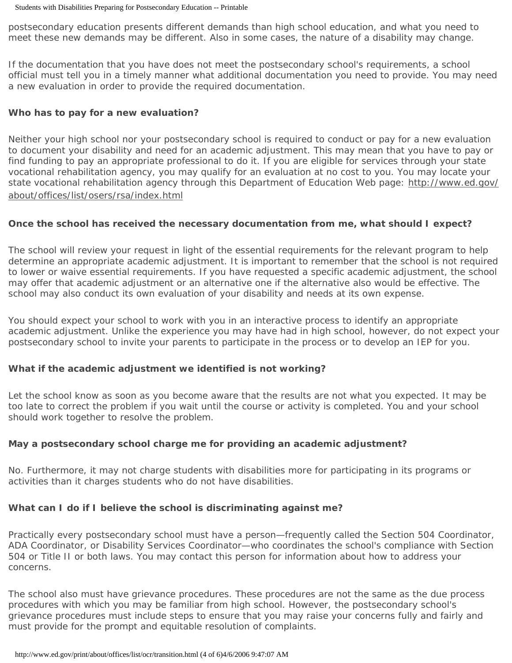postsecondary education presents different demands than high school education, and what you need to meet these new demands may be different. Also in some cases, the nature of a disability may change.

If the documentation that you have does not meet the postsecondary school's requirements, a school official must tell you in a timely manner what additional documentation you need to provide. You may need a new evaluation in order to provide the required documentation.

#### **Who has to pay for a new evaluation?**

Neither your high school nor your postsecondary school is required to conduct or pay for a new evaluation to document your disability and need for an academic adjustment. This may mean that you have to pay or find funding to pay an appropriate professional to do it. If you are eligible for services through your state vocational rehabilitation agency, you may qualify for an evaluation at no cost to you. You may locate your state vocational rehabilitation agency through this Department of Education Web page: [http://www.ed.gov/](http://www.ed.gov/about/offices/list/osers/rsa/index.html) [about/offices/list/osers/rsa/index.html](http://www.ed.gov/about/offices/list/osers/rsa/index.html)

#### **Once the school has received the necessary documentation from me, what should I expect?**

The school will review your request in light of the essential requirements for the relevant program to help determine an appropriate academic adjustment. It is important to remember that the school is not required to lower or waive essential requirements. If you have requested a specific academic adjustment, the school may offer that academic adjustment or an alternative one if the alternative also would be effective. The school may also conduct its own evaluation of your disability and needs at its own expense.

You should expect your school to work with you in an interactive process to identify an appropriate academic adjustment. Unlike the experience you may have had in high school, however, do not expect your postsecondary school to invite your parents to participate in the process or to develop an IEP for you.

#### **What if the academic adjustment we identified is not working?**

Let the school know as soon as you become aware that the results are not what you expected. It may be too late to correct the problem if you wait until the course or activity is completed. You and your school should work together to resolve the problem.

# **May a postsecondary school charge me for providing an academic adjustment?**

No. Furthermore, it may not charge students with disabilities more for participating in its programs or activities than it charges students who do not have disabilities.

# **What can I do if I believe the school is discriminating against me?**

Practically every postsecondary school must have a person—frequently called the Section 504 Coordinator, ADA Coordinator, or Disability Services Coordinator—who coordinates the school's compliance with Section 504 or Title II or both laws. You may contact this person for information about how to address your concerns.

The school also must have grievance procedures. These procedures are not the same as the due process procedures with which you may be familiar from high school. However, the postsecondary school's grievance procedures must include steps to ensure that you may raise your concerns fully and fairly and must provide for the prompt and equitable resolution of complaints.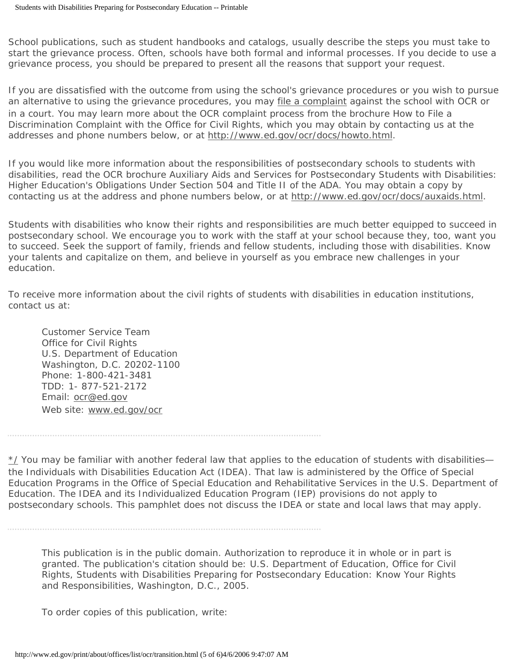School publications, such as student handbooks and catalogs, usually describe the steps you must take to start the grievance process. Often, schools have both formal and informal processes. If you decide to use a grievance process, you should be prepared to present all the reasons that support your request.

If you are dissatisfied with the outcome from using the school's grievance procedures or you wish to pursue an alternative to using the grievance procedures, you may [file a complaint](http://www.ed.gov/print/about/offices/list/ocr/complaintintro.html) against the school with OCR or in a court. You may learn more about the OCR complaint process from the brochure *How to File a Discrimination Complaint with the Office for Civil Rights*, which you may obtain by contacting us at the addresses and phone numbers below, or at [http://www.ed.gov/ocr/docs/howto.html.](http://www.ed.gov/ocr/docs/howto.html)

If you would like more information about the responsibilities of postsecondary schools to students with disabilities, read the OCR brochure *Auxiliary Aids and Services for Postsecondary Students with Disabilities: Higher Education's Obligations Under Section 504 and Title II of the ADA.* You may obtain a copy by contacting us at the address and phone numbers below, or at [http://www.ed.gov/ocr/docs/auxaids.html.](http://www.ed.gov/ocr/docs/auxaids.html)

Students with disabilities who know their rights and responsibilities are much better equipped to succeed in postsecondary school. We encourage you to work with the staff at your school because they, too, want you to succeed. Seek the support of family, friends and fellow students, including those with disabilities. Know your talents and capitalize on them, and believe in yourself as you embrace new challenges in your education.

To receive more information about the civil rights of students with disabilities in education institutions, contact us at:

Customer Service Team Office for Civil Rights U.S. Department of Education Washington, D.C. 20202-1100 Phone: 1-800-421-3481 TDD: 1- 877-521-2172 Email: [ocr@ed.gov](mailto:ocr@ed.gov)  Web site: [www.ed.gov/ocr](http://www.ed.gov/ocr/)

<span id="page-4-0"></span>

<span id="page-4-1"></span>[\\*/](#page-1-0) You may be familiar with another federal law that applies to the education of students with disabilities the Individuals with Disabilities Education Act (IDEA). That law is administered by the Office of Special Education Programs in the Office of Special Education and Rehabilitative Services in the U.S. Department of Education. The IDEA and its Individualized Education Program (IEP) provisions do not apply to postsecondary schools. This pamphlet does not discuss the IDEA or state and local laws that may apply.

This publication is in the public domain. Authorization to reproduce it in whole or in part is granted. The publication's citation should be: U.S. Department of Education, Office for Civil Rights, *Students with Disabilities Preparing for Postsecondary Education: Know Your Rights and Responsibilities*, Washington, D.C., 2005.

To order copies of this publication, write: